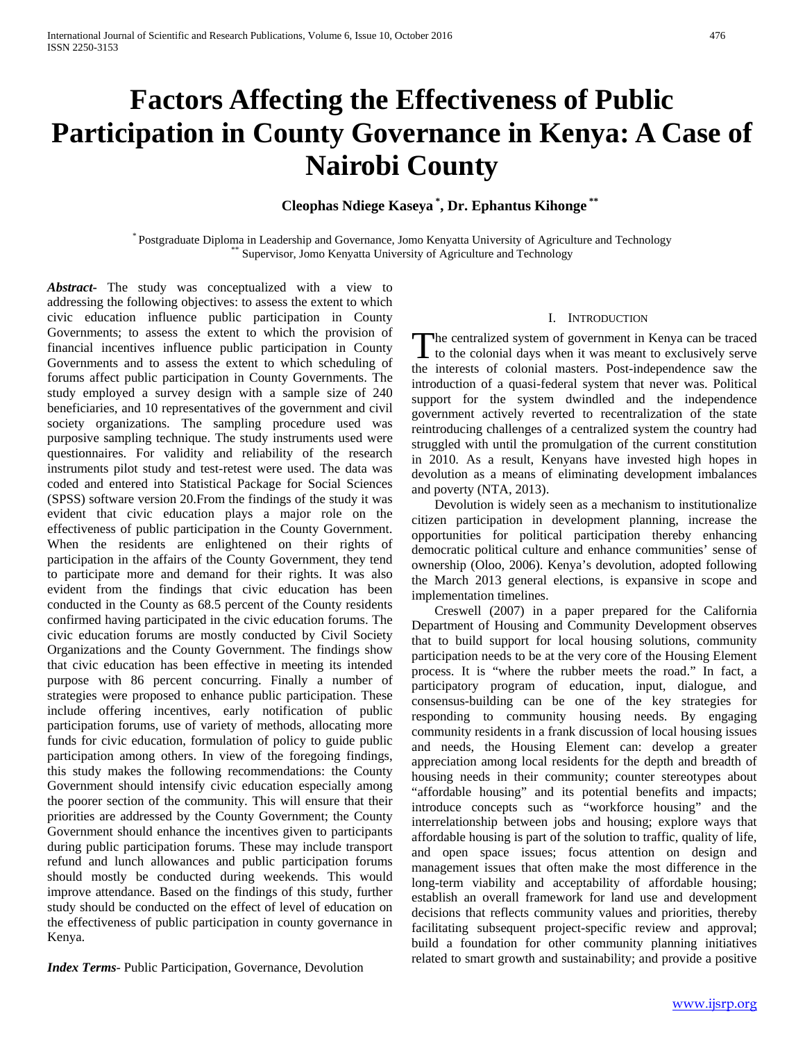# **Factors Affecting the Effectiveness of Public Participation in County Governance in Kenya: A Case of Nairobi County**

**Cleophas Ndiege Kaseya \* , Dr. Ephantus Kihonge \*\***

\* Postgraduate Diploma in Leadership and Governance, Jomo Kenyatta University of Agriculture and Technology \*\* Supervisor, Jomo Kenyatta University of Agriculture and Technology

*Abstract***-** The study was conceptualized with a view to addressing the following objectives: to assess the extent to which civic education influence public participation in County Governments; to assess the extent to which the provision of financial incentives influence public participation in County Governments and to assess the extent to which scheduling of forums affect public participation in County Governments. The study employed a survey design with a sample size of 240 beneficiaries, and 10 representatives of the government and civil society organizations. The sampling procedure used was purposive sampling technique. The study instruments used were questionnaires. For validity and reliability of the research instruments pilot study and test-retest were used. The data was coded and entered into Statistical Package for Social Sciences (SPSS) software version 20.From the findings of the study it was evident that civic education plays a major role on the effectiveness of public participation in the County Government. When the residents are enlightened on their rights of participation in the affairs of the County Government, they tend to participate more and demand for their rights. It was also evident from the findings that civic education has been conducted in the County as 68.5 percent of the County residents confirmed having participated in the civic education forums. The civic education forums are mostly conducted by Civil Society Organizations and the County Government. The findings show that civic education has been effective in meeting its intended purpose with 86 percent concurring. Finally a number of strategies were proposed to enhance public participation. These include offering incentives, early notification of public participation forums, use of variety of methods, allocating more funds for civic education, formulation of policy to guide public participation among others. In view of the foregoing findings, this study makes the following recommendations: the County Government should intensify civic education especially among the poorer section of the community. This will ensure that their priorities are addressed by the County Government; the County Government should enhance the incentives given to participants during public participation forums. These may include transport refund and lunch allowances and public participation forums should mostly be conducted during weekends. This would improve attendance. Based on the findings of this study, further study should be conducted on the effect of level of education on the effectiveness of public participation in county governance in Kenya.

*Index Terms*- Public Participation, Governance, Devolution

#### I. INTRODUCTION

The centralized system of government in Kenya can be traced The centralized system of government in Kenya can be traced<br>to the colonial days when it was meant to exclusively serve the interests of colonial masters. Post-independence saw the introduction of a quasi-federal system that never was. Political support for the system dwindled and the independence government actively reverted to recentralization of the state reintroducing challenges of a centralized system the country had struggled with until the promulgation of the current constitution in 2010. As a result, Kenyans have invested high hopes in devolution as a means of eliminating development imbalances and poverty (NTA, 2013).

 Devolution is widely seen as a mechanism to institutionalize citizen participation in development planning, increase the opportunities for political participation thereby enhancing democratic political culture and enhance communities' sense of ownership (Oloo, 2006). Kenya's devolution, adopted following the March 2013 general elections, is expansive in scope and implementation timelines.

 Creswell (2007) in a paper prepared for the California Department of Housing and Community Development observes that to build support for local housing solutions, community participation needs to be at the very core of the Housing Element process. It is "where the rubber meets the road." In fact, a participatory program of education, input, dialogue, and consensus-building can be one of the key strategies for responding to community housing needs. By engaging community residents in a frank discussion of local housing issues and needs, the Housing Element can: develop a greater appreciation among local residents for the depth and breadth of housing needs in their community; counter stereotypes about "affordable housing" and its potential benefits and impacts; introduce concepts such as "workforce housing" and the interrelationship between jobs and housing; explore ways that affordable housing is part of the solution to traffic, quality of life, and open space issues; focus attention on design and management issues that often make the most difference in the long-term viability and acceptability of affordable housing; establish an overall framework for land use and development decisions that reflects community values and priorities, thereby facilitating subsequent project-specific review and approval; build a foundation for other community planning initiatives related to smart growth and sustainability; and provide a positive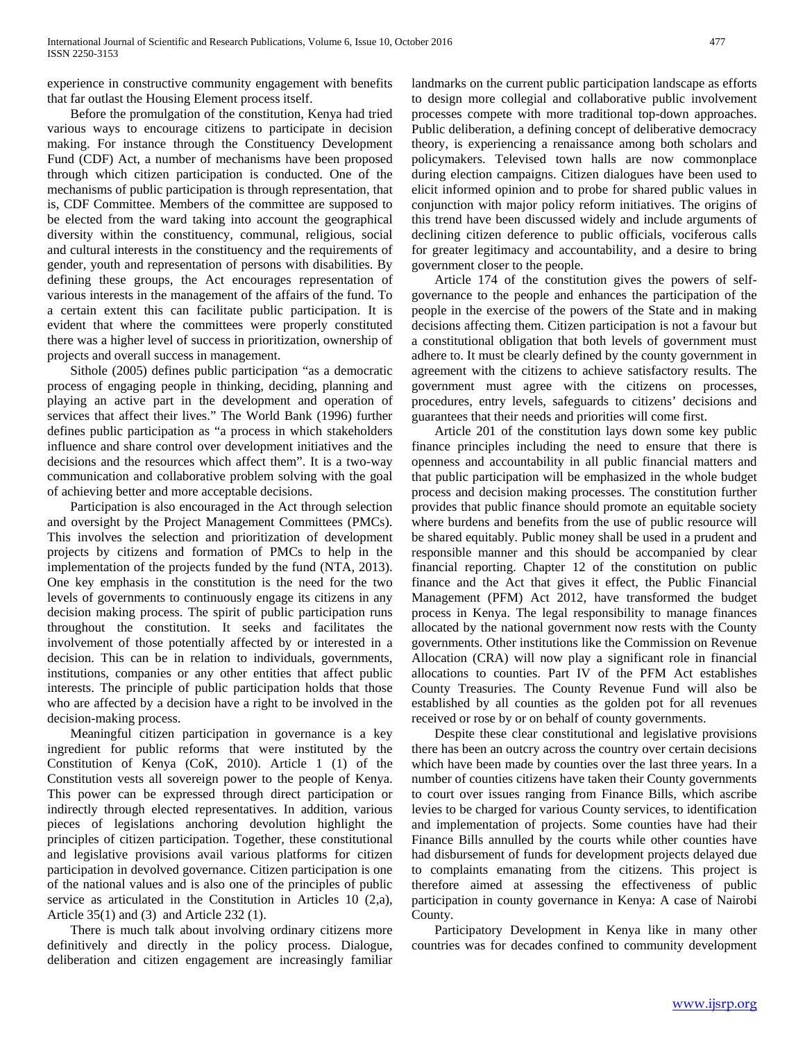experience in constructive community engagement with benefits that far outlast the Housing Element process itself.

 Before the promulgation of the constitution, Kenya had tried various ways to encourage citizens to participate in decision making. For instance through the Constituency Development Fund (CDF) Act, a number of mechanisms have been proposed through which citizen participation is conducted. One of the mechanisms of public participation is through representation, that is, CDF Committee. Members of the committee are supposed to be elected from the ward taking into account the geographical diversity within the constituency, communal, religious, social and cultural interests in the constituency and the requirements of gender, youth and representation of persons with disabilities. By defining these groups, the Act encourages representation of various interests in the management of the affairs of the fund. To a certain extent this can facilitate public participation. It is evident that where the committees were properly constituted there was a higher level of success in prioritization, ownership of projects and overall success in management.

 Sithole (2005) defines public participation "as a democratic process of engaging people in thinking, deciding, planning and playing an active part in the development and operation of services that affect their lives." The World Bank (1996) further defines public participation as "a process in which stakeholders influence and share control over development initiatives and the decisions and the resources which affect them". It is a two-way communication and collaborative problem solving with the goal of achieving better and more acceptable decisions.

 Participation is also encouraged in the Act through selection and oversight by the Project Management Committees (PMCs). This involves the selection and prioritization of development projects by citizens and formation of PMCs to help in the implementation of the projects funded by the fund (NTA, 2013). One key emphasis in the constitution is the need for the two levels of governments to continuously engage its citizens in any decision making process. The spirit of public participation runs throughout the constitution. It seeks and facilitates the involvement of those potentially affected by or interested in a decision. This can be in relation to individuals, governments, institutions, companies or any other entities that affect public interests. The principle of public participation holds that those who are affected by a decision have a right to be involved in the decision-making process.

 Meaningful citizen participation in governance is a key ingredient for public reforms that were instituted by the Constitution of Kenya (CoK, 2010). Article 1 (1) of the Constitution vests all sovereign power to the people of Kenya. This power can be expressed through direct participation or indirectly through elected representatives. In addition, various pieces of legislations anchoring devolution highlight the principles of citizen participation. Together, these constitutional and legislative provisions avail various platforms for citizen participation in devolved governance. Citizen participation is one of the national values and is also one of the principles of public service as articulated in the Constitution in Articles 10 (2,a), Article 35(1) and (3) and Article 232 (1).

 There is much talk about involving ordinary citizens more definitively and directly in the policy process. Dialogue, deliberation and citizen engagement are increasingly familiar

landmarks on the current public participation landscape as efforts to design more collegial and collaborative public involvement processes compete with more traditional top-down approaches. Public deliberation, a defining concept of deliberative democracy theory, is experiencing a renaissance among both scholars and policymakers. Televised town halls are now commonplace during election campaigns. Citizen dialogues have been used to elicit informed opinion and to probe for shared public values in conjunction with major policy reform initiatives. The origins of this trend have been discussed widely and include arguments of declining citizen deference to public officials, vociferous calls for greater legitimacy and accountability, and a desire to bring government closer to the people.

 Article 174 of the constitution gives the powers of selfgovernance to the people and enhances the participation of the people in the exercise of the powers of the State and in making decisions affecting them. Citizen participation is not a favour but a constitutional obligation that both levels of government must adhere to. It must be clearly defined by the county government in agreement with the citizens to achieve satisfactory results. The government must agree with the citizens on processes, procedures, entry levels, safeguards to citizens' decisions and guarantees that their needs and priorities will come first.

 Article 201 of the constitution lays down some key public finance principles including the need to ensure that there is openness and accountability in all public financial matters and that public participation will be emphasized in the whole budget process and decision making processes. The constitution further provides that public finance should promote an equitable society where burdens and benefits from the use of public resource will be shared equitably. Public money shall be used in a prudent and responsible manner and this should be accompanied by clear financial reporting. Chapter 12 of the constitution on public finance and the Act that gives it effect, the Public Financial Management (PFM) Act 2012, have transformed the budget process in Kenya. The legal responsibility to manage finances allocated by the national government now rests with the County governments. Other institutions like the Commission on Revenue Allocation (CRA) will now play a significant role in financial allocations to counties. Part IV of the PFM Act establishes County Treasuries. The County Revenue Fund will also be established by all counties as the golden pot for all revenues received or rose by or on behalf of county governments.

 Despite these clear constitutional and legislative provisions there has been an outcry across the country over certain decisions which have been made by counties over the last three years. In a number of counties citizens have taken their County governments to court over issues ranging from Finance Bills, which ascribe levies to be charged for various County services, to identification and implementation of projects. Some counties have had their Finance Bills annulled by the courts while other counties have had disbursement of funds for development projects delayed due to complaints emanating from the citizens. This project is therefore aimed at assessing the effectiveness of public participation in county governance in Kenya: A case of Nairobi County.

 Participatory Development in Kenya like in many other countries was for decades confined to community development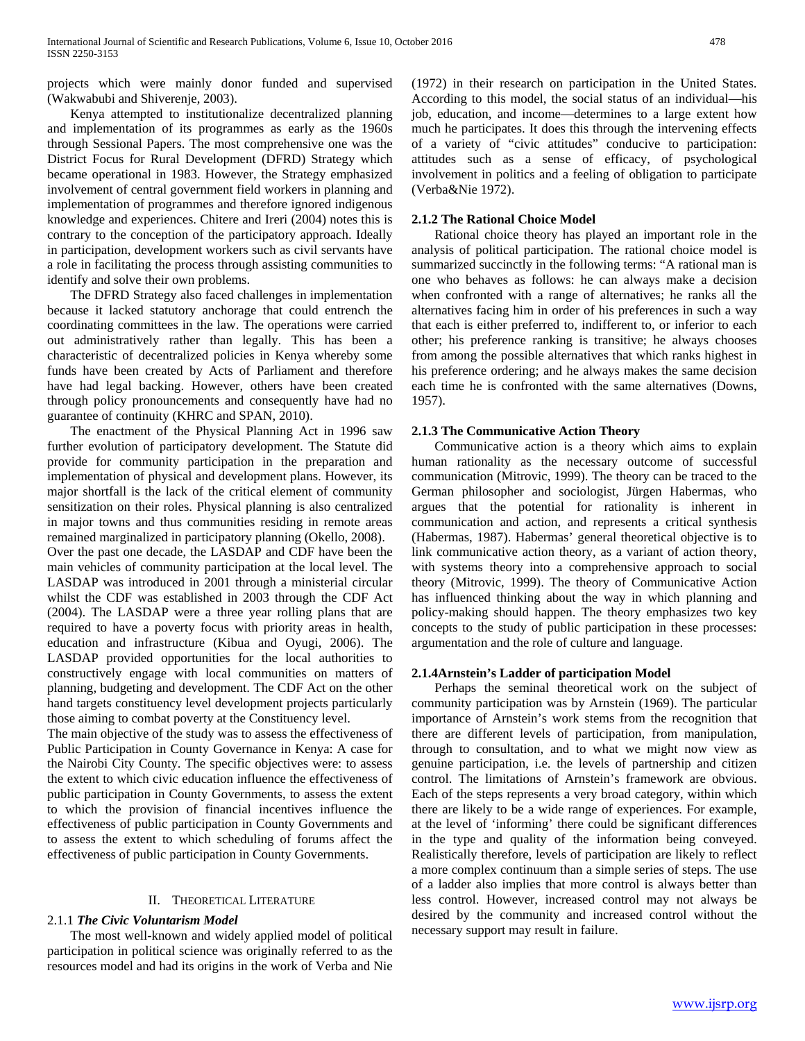projects which were mainly donor funded and supervised (Wakwabubi and Shiverenje, 2003).

 Kenya attempted to institutionalize decentralized planning and implementation of its programmes as early as the 1960s through Sessional Papers. The most comprehensive one was the District Focus for Rural Development (DFRD) Strategy which became operational in 1983. However, the Strategy emphasized involvement of central government field workers in planning and implementation of programmes and therefore ignored indigenous knowledge and experiences. Chitere and Ireri (2004) notes this is contrary to the conception of the participatory approach. Ideally in participation, development workers such as civil servants have a role in facilitating the process through assisting communities to identify and solve their own problems.

 The DFRD Strategy also faced challenges in implementation because it lacked statutory anchorage that could entrench the coordinating committees in the law. The operations were carried out administratively rather than legally. This has been a characteristic of decentralized policies in Kenya whereby some funds have been created by Acts of Parliament and therefore have had legal backing. However, others have been created through policy pronouncements and consequently have had no guarantee of continuity (KHRC and SPAN, 2010).

 The enactment of the Physical Planning Act in 1996 saw further evolution of participatory development. The Statute did provide for community participation in the preparation and implementation of physical and development plans. However, its major shortfall is the lack of the critical element of community sensitization on their roles. Physical planning is also centralized in major towns and thus communities residing in remote areas remained marginalized in participatory planning (Okello, 2008). Over the past one decade, the LASDAP and CDF have been the main vehicles of community participation at the local level. The LASDAP was introduced in 2001 through a ministerial circular whilst the CDF was established in 2003 through the CDF Act (2004). The LASDAP were a three year rolling plans that are required to have a poverty focus with priority areas in health, education and infrastructure (Kibua and Oyugi, 2006). The LASDAP provided opportunities for the local authorities to constructively engage with local communities on matters of planning, budgeting and development. The CDF Act on the other hand targets constituency level development projects particularly those aiming to combat poverty at the Constituency level.

The main objective of the study was to assess the effectiveness of Public Participation in County Governance in Kenya: A case for the Nairobi City County. The specific objectives were: to assess the extent to which civic education influence the effectiveness of public participation in County Governments, to assess the extent to which the provision of financial incentives influence the effectiveness of public participation in County Governments and to assess the extent to which scheduling of forums affect the effectiveness of public participation in County Governments.

# II. THEORETICAL LITERATURE

#### 2.1.1 *The Civic Voluntarism Model*

 The most well-known and widely applied model of political participation in political science was originally referred to as the resources model and had its origins in the work of Verba and Nie (1972) in their research on participation in the United States. According to this model, the social status of an individual—his job, education, and income—determines to a large extent how much he participates. It does this through the intervening effects of a variety of "civic attitudes" conducive to participation: attitudes such as a sense of efficacy, of psychological involvement in politics and a feeling of obligation to participate (Verba&Nie 1972).

#### **2.1.2 The Rational Choice Model**

 Rational choice theory has played an important role in the analysis of political participation. The rational choice model is summarized succinctly in the following terms: "A rational man is one who behaves as follows: he can always make a decision when confronted with a range of alternatives; he ranks all the alternatives facing him in order of his preferences in such a way that each is either preferred to, indifferent to, or inferior to each other; his preference ranking is transitive; he always chooses from among the possible alternatives that which ranks highest in his preference ordering; and he always makes the same decision each time he is confronted with the same alternatives (Downs, 1957).

#### **2.1.3 The Communicative Action Theory**

 Communicative action is a theory which aims to explain human rationality as the necessary outcome of successful communication (Mitrovic, 1999). The theory can be traced to the German philosopher and sociologist, Jürgen Habermas, who argues that the potential for rationality is inherent in communication and action, and represents a critical synthesis (Habermas, 1987). Habermas' general theoretical objective is to link communicative action theory, as a variant of action theory, with systems theory into a comprehensive approach to social theory (Mitrovic, 1999). The theory of Communicative Action has influenced thinking about the way in which planning and policy-making should happen. The theory emphasizes two key concepts to the study of public participation in these processes: argumentation and the role of culture and language.

#### **2.1.4Arnstein's Ladder of participation Model**

 Perhaps the seminal theoretical work on the subject of community participation was by Arnstein (1969). The particular importance of Arnstein's work stems from the recognition that there are different levels of participation, from manipulation, through to consultation, and to what we might now view as genuine participation, i.e. the levels of partnership and citizen control. The limitations of Arnstein's framework are obvious. Each of the steps represents a very broad category, within which there are likely to be a wide range of experiences. For example, at the level of 'informing' there could be significant differences in the type and quality of the information being conveyed. Realistically therefore, levels of participation are likely to reflect a more complex continuum than a simple series of steps. The use of a ladder also implies that more control is always better than less control. However, increased control may not always be desired by the community and increased control without the necessary support may result in failure.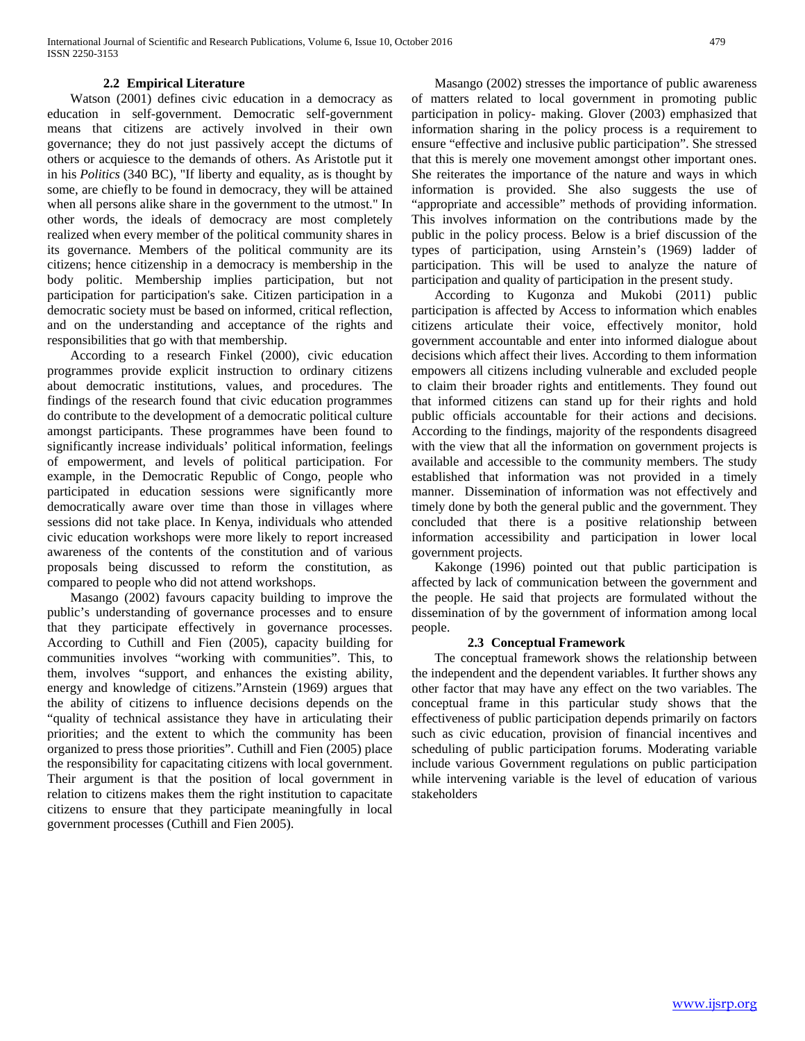Watson (2001) defines civic education in a democracy as education in self-government. Democratic self-government means that citizens are actively involved in their own governance; they do not just passively accept the dictums of others or acquiesce to the demands of others. As Aristotle put it in his *Politics* (340 BC), "If liberty and equality, as is thought by some, are chiefly to be found in democracy, they will be attained when all persons alike share in the government to the utmost." In other words, the ideals of democracy are most completely realized when every member of the political community shares in its governance. Members of the political community are its citizens; hence citizenship in a democracy is membership in the body politic. Membership implies participation, but not participation for participation's sake. Citizen participation in a democratic society must be based on informed, critical reflection, and on the understanding and acceptance of the rights and responsibilities that go with that membership.

 According to a research Finkel (2000), civic education programmes provide explicit instruction to ordinary citizens about democratic institutions, values, and procedures. The findings of the research found that civic education programmes do contribute to the development of a democratic political culture amongst participants. These programmes have been found to significantly increase individuals' political information, feelings of empowerment, and levels of political participation. For example, in the Democratic Republic of Congo, people who participated in education sessions were significantly more democratically aware over time than those in villages where sessions did not take place. In Kenya, individuals who attended civic education workshops were more likely to report increased awareness of the contents of the constitution and of various proposals being discussed to reform the constitution, as compared to people who did not attend workshops.

 Masango (2002) favours capacity building to improve the public's understanding of governance processes and to ensure that they participate effectively in governance processes. According to Cuthill and Fien (2005), capacity building for communities involves "working with communities". This, to them, involves "support, and enhances the existing ability, energy and knowledge of citizens."Arnstein (1969) argues that the ability of citizens to influence decisions depends on the "quality of technical assistance they have in articulating their priorities; and the extent to which the community has been organized to press those priorities". Cuthill and Fien (2005) place the responsibility for capacitating citizens with local government. Their argument is that the position of local government in relation to citizens makes them the right institution to capacitate citizens to ensure that they participate meaningfully in local government processes (Cuthill and Fien 2005).

 Masango (2002) stresses the importance of public awareness of matters related to local government in promoting public participation in policy- making. Glover (2003) emphasized that information sharing in the policy process is a requirement to ensure "effective and inclusive public participation". She stressed that this is merely one movement amongst other important ones. She reiterates the importance of the nature and ways in which information is provided. She also suggests the use of "appropriate and accessible" methods of providing information. This involves information on the contributions made by the public in the policy process. Below is a brief discussion of the types of participation, using Arnstein's (1969) ladder of participation. This will be used to analyze the nature of participation and quality of participation in the present study.

 According to Kugonza and Mukobi (2011) public participation is affected by Access to information which enables citizens articulate their voice, effectively monitor, hold government accountable and enter into informed dialogue about decisions which affect their lives. According to them information empowers all citizens including vulnerable and excluded people to claim their broader rights and entitlements. They found out that informed citizens can stand up for their rights and hold public officials accountable for their actions and decisions. According to the findings, majority of the respondents disagreed with the view that all the information on government projects is available and accessible to the community members. The study established that information was not provided in a timely manner. Dissemination of information was not effectively and timely done by both the general public and the government. They concluded that there is a positive relationship between information accessibility and participation in lower local government projects.

 Kakonge (1996) pointed out that public participation is affected by lack of communication between the government and the people. He said that projects are formulated without the dissemination of by the government of information among local people.

### **2.3 Conceptual Framework**

 The conceptual framework shows the relationship between the independent and the dependent variables. It further shows any other factor that may have any effect on the two variables. The conceptual frame in this particular study shows that the effectiveness of public participation depends primarily on factors such as civic education, provision of financial incentives and scheduling of public participation forums. Moderating variable include various Government regulations on public participation while intervening variable is the level of education of various stakeholders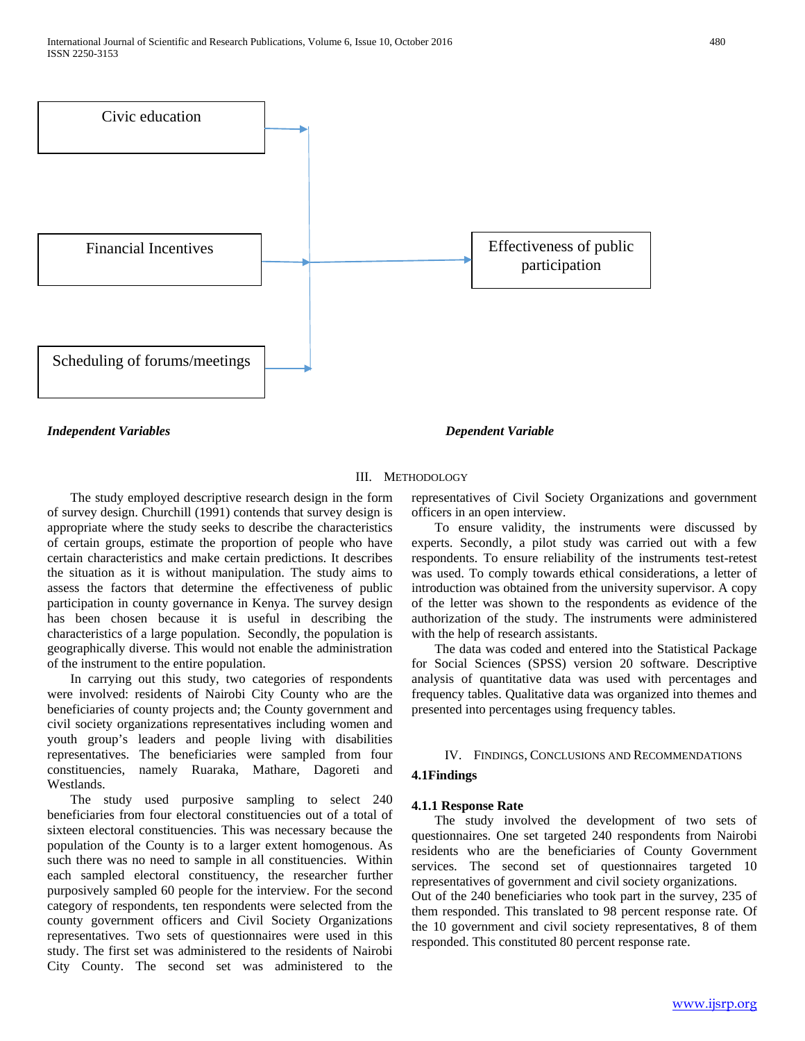

*Independent Variables Dependent Variable*

#### III. METHODOLOGY

 The study employed descriptive research design in the form of survey design. Churchill (1991) contends that survey design is appropriate where the study seeks to describe the characteristics of certain groups, estimate the proportion of people who have certain characteristics and make certain predictions. It describes the situation as it is without manipulation. The study aims to assess the factors that determine the effectiveness of public participation in county governance in Kenya. The survey design has been chosen because it is useful in describing the characteristics of a large population. Secondly, the population is geographically diverse. This would not enable the administration of the instrument to the entire population.

 In carrying out this study, two categories of respondents were involved: residents of Nairobi City County who are the beneficiaries of county projects and; the County government and civil society organizations representatives including women and youth group's leaders and people living with disabilities representatives. The beneficiaries were sampled from four constituencies, namely Ruaraka, Mathare, Dagoreti and Westlands.

 The study used purposive sampling to select 240 beneficiaries from four electoral constituencies out of a total of sixteen electoral constituencies. This was necessary because the population of the County is to a larger extent homogenous. As such there was no need to sample in all constituencies. Within each sampled electoral constituency, the researcher further purposively sampled 60 people for the interview. For the second category of respondents, ten respondents were selected from the county government officers and Civil Society Organizations representatives. Two sets of questionnaires were used in this study. The first set was administered to the residents of Nairobi City County. The second set was administered to the

representatives of Civil Society Organizations and government officers in an open interview.

 To ensure validity, the instruments were discussed by experts. Secondly, a pilot study was carried out with a few respondents. To ensure reliability of the instruments test-retest was used. To comply towards ethical considerations, a letter of introduction was obtained from the university supervisor. A copy of the letter was shown to the respondents as evidence of the authorization of the study. The instruments were administered with the help of research assistants.

 The data was coded and entered into the Statistical Package for Social Sciences (SPSS) version 20 software. Descriptive analysis of quantitative data was used with percentages and frequency tables. Qualitative data was organized into themes and presented into percentages using frequency tables.

#### IV. FINDINGS, CONCLUSIONS AND RECOMMENDATIONS

#### **4.1Findings**

#### **4.1.1 Response Rate**

 The study involved the development of two sets of questionnaires. One set targeted 240 respondents from Nairobi residents who are the beneficiaries of County Government services. The second set of questionnaires targeted 10 representatives of government and civil society organizations.

Out of the 240 beneficiaries who took part in the survey, 235 of them responded. This translated to 98 percent response rate. Of the 10 government and civil society representatives, 8 of them responded. This constituted 80 percent response rate.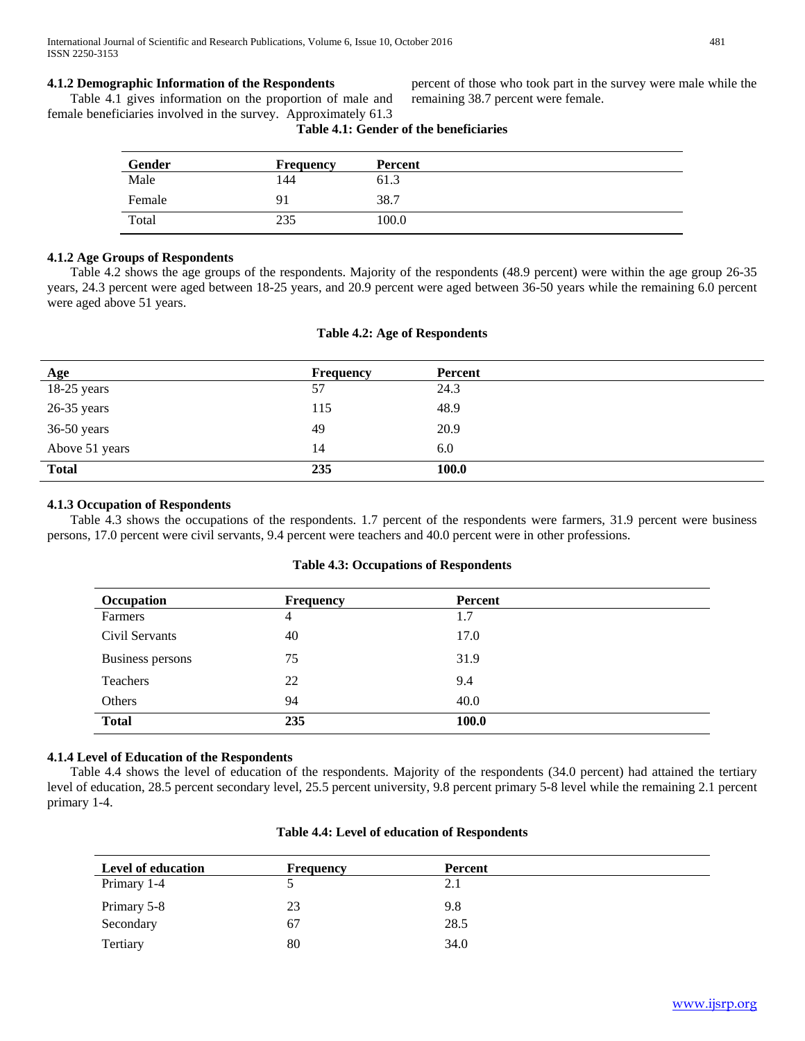#### **4.1.2 Demographic Information of the Respondents**

 Table 4.1 gives information on the proportion of male and female beneficiaries involved in the survey. Approximately 61.3

percent of those who took part in the survey were male while the remaining 38.7 percent were female.

| Gender | <b>Frequency</b> | Percent |
|--------|------------------|---------|
| Male   | 144              | 61.3    |
| Female | 91               | 38.7    |
| Total  | 235              | 100.0   |

# **Table 4.1: Gender of the beneficiaries**

#### **4.1.2 Age Groups of Respondents**

 Table 4.2 shows the age groups of the respondents. Majority of the respondents (48.9 percent) were within the age group 26-35 years, 24.3 percent were aged between 18-25 years, and 20.9 percent were aged between 36-50 years while the remaining 6.0 percent were aged above 51 years.

#### **Table 4.2: Age of Respondents**

| Age            | <b>Frequency</b> | Percent      |
|----------------|------------------|--------------|
| $18-25$ years  | 57               | 24.3         |
| $26-35$ years  | 115              | 48.9         |
| $36-50$ years  | 49               | 20.9         |
| Above 51 years | 14               | 6.0          |
| <b>Total</b>   | 235              | <b>100.0</b> |

#### **4.1.3 Occupation of Respondents**

 Table 4.3 shows the occupations of the respondents. 1.7 percent of the respondents were farmers, 31.9 percent were business persons, 17.0 percent were civil servants, 9.4 percent were teachers and 40.0 percent were in other professions.

#### **Table 4.3: Occupations of Respondents**

| Occupation       | <b>Frequency</b> | Percent |  |
|------------------|------------------|---------|--|
| Farmers          | 4                | 1.7     |  |
| Civil Servants   | 40               | 17.0    |  |
| Business persons | 75               | 31.9    |  |
| Teachers         | 22               | 9.4     |  |
| Others           | 94               | 40.0    |  |
| <b>Total</b>     | 235              | 100.0   |  |

#### **4.1.4 Level of Education of the Respondents**

 Table 4.4 shows the level of education of the respondents. Majority of the respondents (34.0 percent) had attained the tertiary level of education, 28.5 percent secondary level, 25.5 percent university, 9.8 percent primary 5-8 level while the remaining 2.1 percent primary 1-4.

| Level of education | <b>Frequency</b> | Percent |
|--------------------|------------------|---------|
| Primary 1-4        |                  | 2.1     |
| Primary 5-8        | 23               | 9.8     |
| Secondary          | 67               | 28.5    |
| Tertiary           | 80               | 34.0    |

#### **Table 4.4: Level of education of Respondents**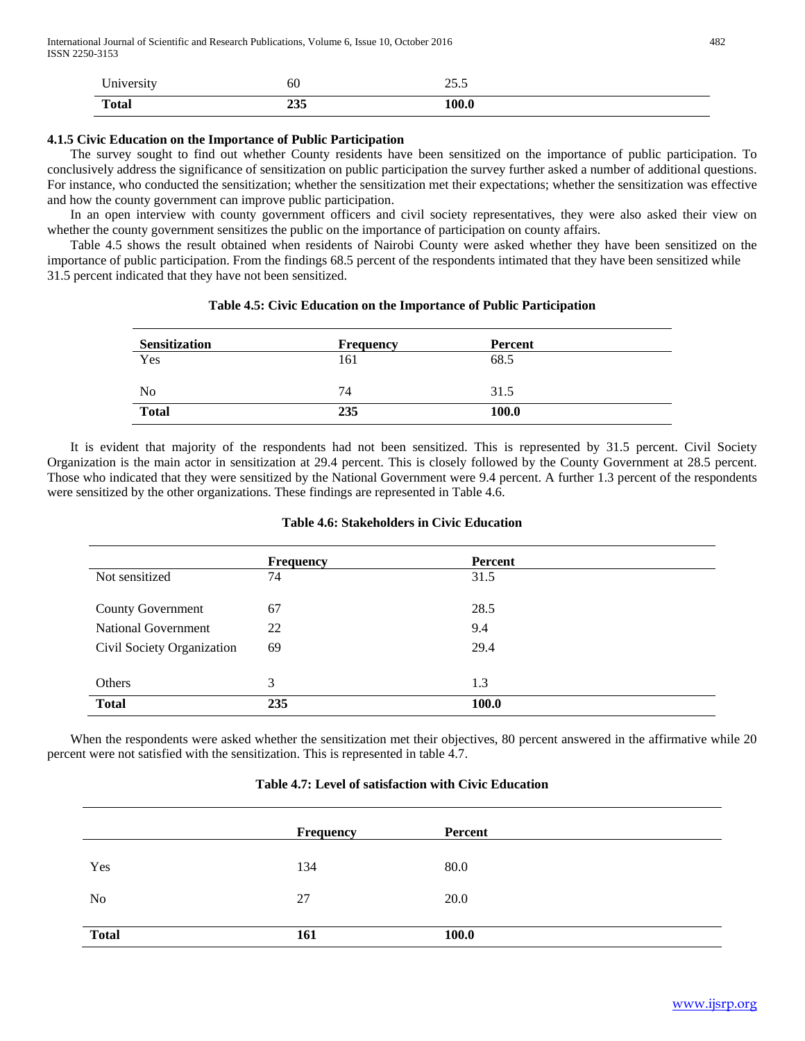| University   | 60         | -<br>ں دے |
|--------------|------------|-----------|
| <b>Total</b> | つつこ<br>299 | 100.0     |

#### **4.1.5 Civic Education on the Importance of Public Participation**

 The survey sought to find out whether County residents have been sensitized on the importance of public participation. To conclusively address the significance of sensitization on public participation the survey further asked a number of additional questions. For instance, who conducted the sensitization; whether the sensitization met their expectations; whether the sensitization was effective and how the county government can improve public participation.

 In an open interview with county government officers and civil society representatives, they were also asked their view on whether the county government sensitizes the public on the importance of participation on county affairs.

 Table 4.5 shows the result obtained when residents of Nairobi County were asked whether they have been sensitized on the importance of public participation. From the findings 68.5 percent of the respondents intimated that they have been sensitized while 31.5 percent indicated that they have not been sensitized.

#### **Table 4.5: Civic Education on the Importance of Public Participation**

| <b>Sensitization</b> | <b>Frequency</b> | <b>Percent</b> |  |
|----------------------|------------------|----------------|--|
| Yes                  | 161              | 68.5           |  |
| N <sub>0</sub>       | 74               | 31.5           |  |
| <b>Total</b>         | 235              | 100.0          |  |

 It is evident that majority of the respondents had not been sensitized. This is represented by 31.5 percent. Civil Society Organization is the main actor in sensitization at 29.4 percent. This is closely followed by the County Government at 28.5 percent. Those who indicated that they were sensitized by the National Government were 9.4 percent. A further 1.3 percent of the respondents were sensitized by the other organizations. These findings are represented in Table 4.6.

#### **Table 4.6: Stakeholders in Civic Education**

|                            | <b>Frequency</b> | Percent |
|----------------------------|------------------|---------|
| Not sensitized             | 74               | 31.5    |
| <b>County Government</b>   | 67               | 28.5    |
| <b>National Government</b> | 22               | 9.4     |
| Civil Society Organization | 69               | 29.4    |
|                            |                  |         |
| Others                     | 3                | 1.3     |
| <b>Total</b>               | 235              | 100.0   |

 When the respondents were asked whether the sensitization met their objectives, 80 percent answered in the affirmative while 20 percent were not satisfied with the sensitization. This is represented in table 4.7.

#### **Table 4.7: Level of satisfaction with Civic Education**

|              | Frequency | Percent |
|--------------|-----------|---------|
| Yes          | 134       | 80.0    |
| No           | 27        | 20.0    |
| <b>Total</b> | 161       | 100.0   |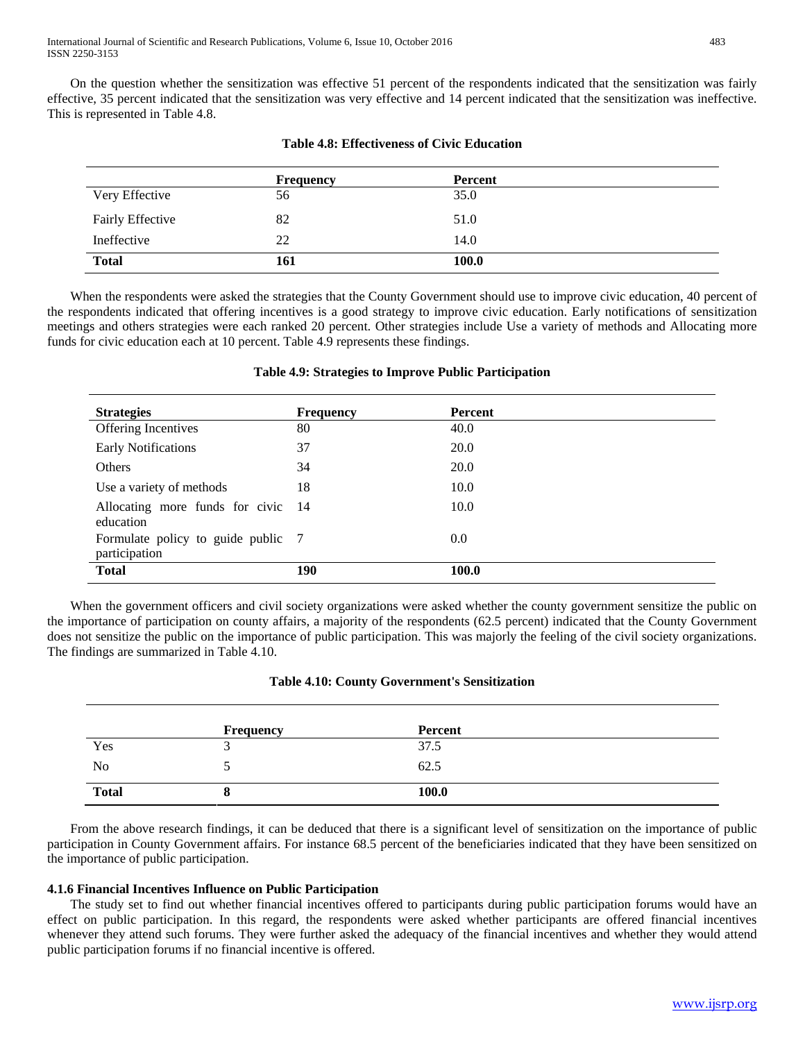On the question whether the sensitization was effective 51 percent of the respondents indicated that the sensitization was fairly effective, 35 percent indicated that the sensitization was very effective and 14 percent indicated that the sensitization was ineffective. This is represented in Table 4.8.

|                         | <b>Frequency</b> | Percent |
|-------------------------|------------------|---------|
| Very Effective          | 56               | 35.0    |
| <b>Fairly Effective</b> | 82               | 51.0    |
| Ineffective             | 22               | 14.0    |
| <b>Total</b>            | 161              | 100.0   |

# **Table 4.8: Effectiveness of Civic Education**

 When the respondents were asked the strategies that the County Government should use to improve civic education, 40 percent of the respondents indicated that offering incentives is a good strategy to improve civic education. Early notifications of sensitization meetings and others strategies were each ranked 20 percent. Other strategies include Use a variety of methods and Allocating more funds for civic education each at 10 percent. Table 4.9 represents these findings.

| <b>Strategies</b>                                   | <b>Frequency</b> | Percent     |
|-----------------------------------------------------|------------------|-------------|
| <b>Offering Incentives</b>                          | 80               | 40.0        |
| <b>Early Notifications</b>                          | 37               | 20.0        |
| Others                                              | 34               | <b>20.0</b> |
| Use a variety of methods                            | 18               | 10.0        |
| Allocating more funds for civic 14<br>education     |                  | 10.0        |
| Formulate policy to guide public 7<br>participation |                  | 0.0         |
| <b>Total</b>                                        | 190              | 100.0       |

# **Table 4.9: Strategies to Improve Public Participation**

 When the government officers and civil society organizations were asked whether the county government sensitize the public on the importance of participation on county affairs, a majority of the respondents (62.5 percent) indicated that the County Government does not sensitize the public on the importance of public participation. This was majorly the feeling of the civil society organizations. The findings are summarized in Table 4.10.

# **Table 4.10: County Government's Sensitization**

|                | <b>Frequency</b> | Percent |
|----------------|------------------|---------|
| Yes            | . .              | 37.5    |
| N <sub>o</sub> |                  | 62.5    |
| <b>Total</b>   | О                | 100.0   |

 From the above research findings, it can be deduced that there is a significant level of sensitization on the importance of public participation in County Government affairs. For instance 68.5 percent of the beneficiaries indicated that they have been sensitized on the importance of public participation.

# **4.1.6 Financial Incentives Influence on Public Participation**

 The study set to find out whether financial incentives offered to participants during public participation forums would have an effect on public participation. In this regard, the respondents were asked whether participants are offered financial incentives whenever they attend such forums. They were further asked the adequacy of the financial incentives and whether they would attend public participation forums if no financial incentive is offered.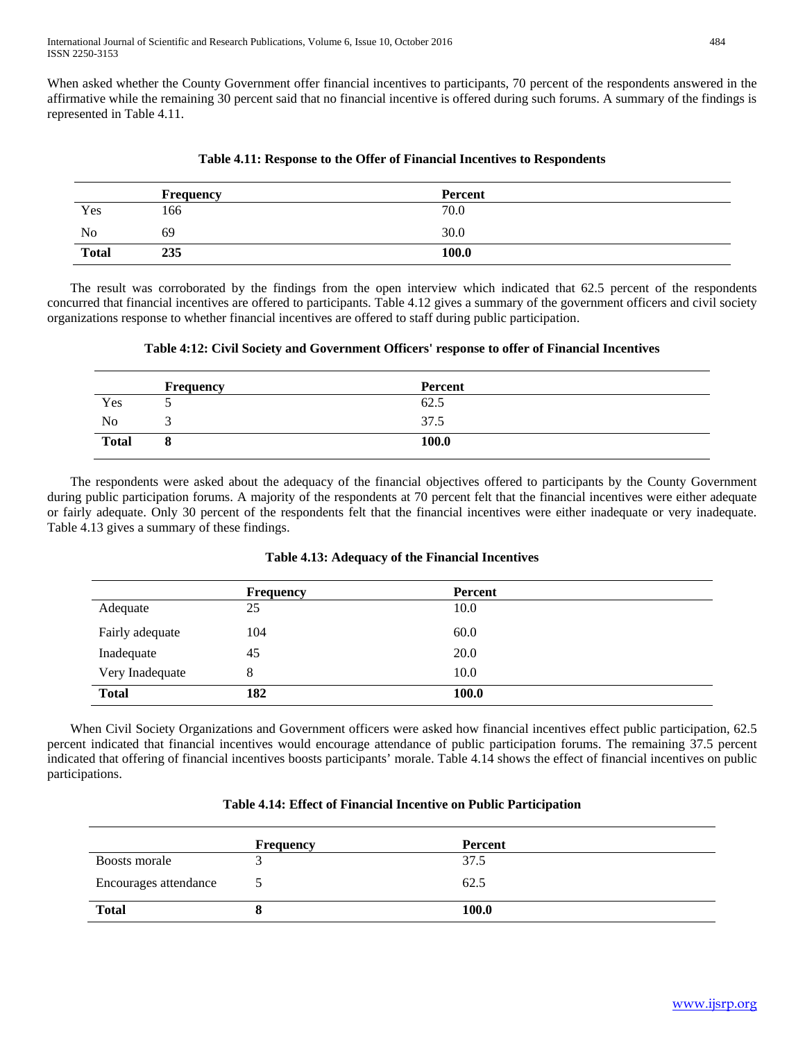When asked whether the County Government offer financial incentives to participants, 70 percent of the respondents answered in the affirmative while the remaining 30 percent said that no financial incentive is offered during such forums. A summary of the findings is represented in Table 4.11.

|              | <b>Frequency</b> | Percent |  |
|--------------|------------------|---------|--|
| Yes          | 166              | 70.0    |  |
| No           | 69               | 30.0    |  |
| <b>Total</b> | 235              | 100.0   |  |

**Table 4.11: Response to the Offer of Financial Incentives to Respondents**

 The result was corroborated by the findings from the open interview which indicated that 62.5 percent of the respondents concurred that financial incentives are offered to participants. Table 4.12 gives a summary of the government officers and civil society organizations response to whether financial incentives are offered to staff during public participation.

|              | <b>Frequency</b> | Percent |  |
|--------------|------------------|---------|--|
| Yes          |                  | 62.5    |  |
| No           |                  | 37.5    |  |
| <b>Total</b> | o                | 100.0   |  |

 The respondents were asked about the adequacy of the financial objectives offered to participants by the County Government during public participation forums. A majority of the respondents at 70 percent felt that the financial incentives were either adequate or fairly adequate. Only 30 percent of the respondents felt that the financial incentives were either inadequate or very inadequate. Table 4.13 gives a summary of these findings.

|                 | <b>Frequency</b> | Percent |
|-----------------|------------------|---------|
| Adequate        | 25               | 10.0    |
| Fairly adequate | 104              | 60.0    |
| Inadequate      | 45               | 20.0    |
| Very Inadequate | 8                | 10.0    |
| <b>Total</b>    | 182              | 100.0   |

#### **Table 4.13: Adequacy of the Financial Incentives**

 When Civil Society Organizations and Government officers were asked how financial incentives effect public participation, 62.5 percent indicated that financial incentives would encourage attendance of public participation forums. The remaining 37.5 percent indicated that offering of financial incentives boosts participants' morale. Table 4.14 shows the effect of financial incentives on public participations.

|  |  |  |  |  |  | Table 4.14: Effect of Financial Incentive on Public Participation |
|--|--|--|--|--|--|-------------------------------------------------------------------|
|--|--|--|--|--|--|-------------------------------------------------------------------|

|                       | <b>Frequency</b> | Percent |
|-----------------------|------------------|---------|
| Boosts morale         |                  | 37.5    |
| Encourages attendance |                  | 62.5    |
| <b>Total</b>          |                  | 100.0   |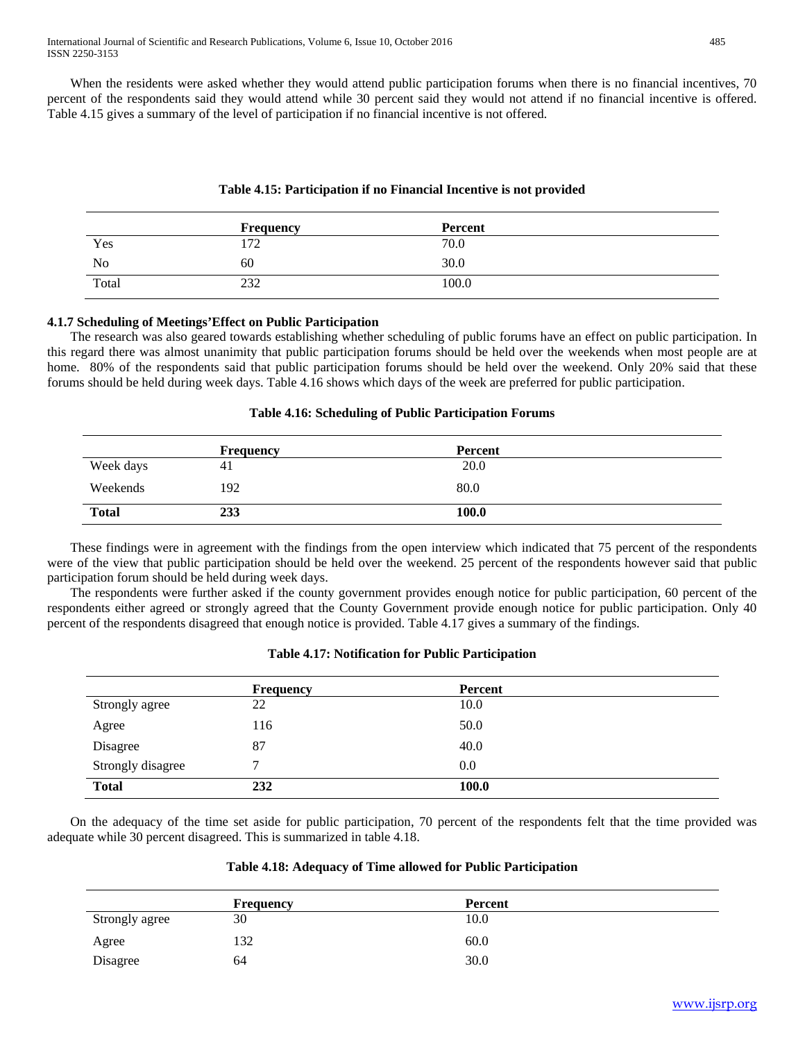When the residents were asked whether they would attend public participation forums when there is no financial incentives, 70 percent of the respondents said they would attend while 30 percent said they would not attend if no financial incentive is offered. Table 4.15 gives a summary of the level of participation if no financial incentive is not offered.

# **Table 4.15: Participation if no Financial Incentive is not provided**

|           | Frequency | Percent |  |
|-----------|-----------|---------|--|
| Yes       | 72        | 70.0    |  |
| <b>No</b> | 60        | 30.0    |  |
| Total     | 232       | 100.0   |  |

# **4.1.7 Scheduling of Meetings'Effect on Public Participation**

 The research was also geared towards establishing whether scheduling of public forums have an effect on public participation. In this regard there was almost unanimity that public participation forums should be held over the weekends when most people are at home. 80% of the respondents said that public participation forums should be held over the weekend. Only 20% said that these forums should be held during week days. Table 4.16 shows which days of the week are preferred for public participation.

# **Table 4.16: Scheduling of Public Participation Forums**

|              | <b>Frequency</b> | Percent      |  |
|--------------|------------------|--------------|--|
| Week days    | 4 <sub>1</sub>   | 20.0         |  |
| Weekends     | 192              | 80.0         |  |
| <b>Total</b> | 233              | <b>100.0</b> |  |

 These findings were in agreement with the findings from the open interview which indicated that 75 percent of the respondents were of the view that public participation should be held over the weekend. 25 percent of the respondents however said that public participation forum should be held during week days.

 The respondents were further asked if the county government provides enough notice for public participation, 60 percent of the respondents either agreed or strongly agreed that the County Government provide enough notice for public participation. Only 40 percent of the respondents disagreed that enough notice is provided. Table 4.17 gives a summary of the findings.

# **Table 4.17: Notification for Public Participation**

|                   | <b>Frequency</b> | Percent      |  |
|-------------------|------------------|--------------|--|
| Strongly agree    | 22               | 10.0         |  |
| Agree             | 116              | 50.0         |  |
| Disagree          | 87               | 40.0         |  |
| Strongly disagree | 7                | 0.0          |  |
| <b>Total</b>      | 232              | <b>100.0</b> |  |

 On the adequacy of the time set aside for public participation, 70 percent of the respondents felt that the time provided was adequate while 30 percent disagreed. This is summarized in table 4.18.

#### **Table 4.18: Adequacy of Time allowed for Public Participation**

|                | Frequency | Percent |
|----------------|-----------|---------|
| Strongly agree | 30        | 10.0    |
| Agree          | 132       | 60.0    |
| Disagree       | 64        | 30.0    |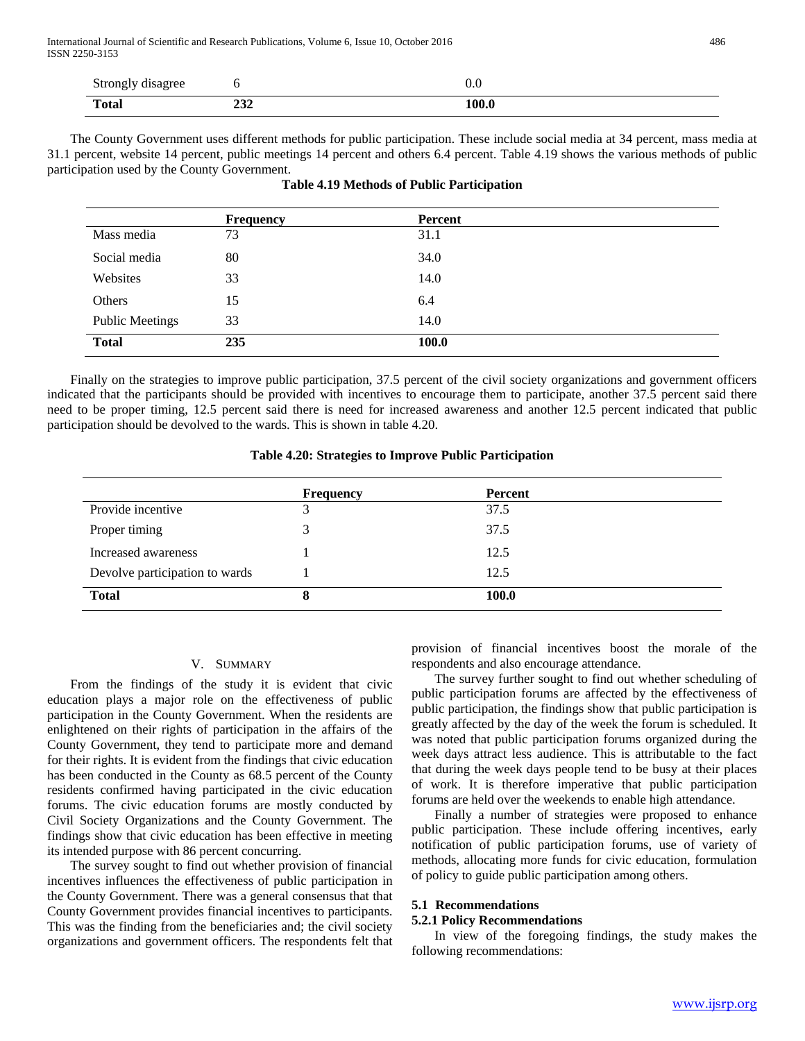| Strongly disagree |            | v.u   |
|-------------------|------------|-------|
| <b>Total</b>      | ^^^<br>494 | 100.0 |

 The County Government uses different methods for public participation. These include social media at 34 percent, mass media at 31.1 percent, website 14 percent, public meetings 14 percent and others 6.4 percent. Table 4.19 shows the various methods of public participation used by the County Government.

|                        | <b>Frequency</b> | Percent |  |
|------------------------|------------------|---------|--|
| Mass media             | 73               | 31.1    |  |
| Social media           | 80               | 34.0    |  |
| Websites               | 33               | 14.0    |  |
| Others                 | 15               | 6.4     |  |
| <b>Public Meetings</b> | 33               | 14.0    |  |
| <b>Total</b>           | 235              | 100.0   |  |

|  |  |  | <b>Table 4.19 Methods of Public Participation</b> |
|--|--|--|---------------------------------------------------|
|--|--|--|---------------------------------------------------|

 Finally on the strategies to improve public participation, 37.5 percent of the civil society organizations and government officers indicated that the participants should be provided with incentives to encourage them to participate, another 37.5 percent said there need to be proper timing, 12.5 percent said there is need for increased awareness and another 12.5 percent indicated that public participation should be devolved to the wards. This is shown in table 4.20.

#### **Table 4.20: Strategies to Improve Public Participation**

|                                | <b>Frequency</b> | Percent      |
|--------------------------------|------------------|--------------|
| Provide incentive              |                  | 37.5         |
| Proper timing                  | $\mathbf{R}$     | 37.5         |
| Increased awareness            |                  | 12.5         |
| Devolve participation to wards |                  | 12.5         |
| <b>Total</b>                   |                  | <b>100.0</b> |

# V. SUMMARY

 From the findings of the study it is evident that civic education plays a major role on the effectiveness of public participation in the County Government. When the residents are enlightened on their rights of participation in the affairs of the County Government, they tend to participate more and demand for their rights. It is evident from the findings that civic education has been conducted in the County as 68.5 percent of the County residents confirmed having participated in the civic education forums. The civic education forums are mostly conducted by Civil Society Organizations and the County Government. The findings show that civic education has been effective in meeting its intended purpose with 86 percent concurring.

 The survey sought to find out whether provision of financial incentives influences the effectiveness of public participation in the County Government. There was a general consensus that that County Government provides financial incentives to participants. This was the finding from the beneficiaries and; the civil society organizations and government officers. The respondents felt that provision of financial incentives boost the morale of the respondents and also encourage attendance.

 The survey further sought to find out whether scheduling of public participation forums are affected by the effectiveness of public participation, the findings show that public participation is greatly affected by the day of the week the forum is scheduled. It was noted that public participation forums organized during the week days attract less audience. This is attributable to the fact that during the week days people tend to be busy at their places of work. It is therefore imperative that public participation forums are held over the weekends to enable high attendance.

 Finally a number of strategies were proposed to enhance public participation. These include offering incentives, early notification of public participation forums, use of variety of methods, allocating more funds for civic education, formulation of policy to guide public participation among others.

#### **5.1 Recommendations**

#### **5.2.1 Policy Recommendations**

 In view of the foregoing findings, the study makes the following recommendations: